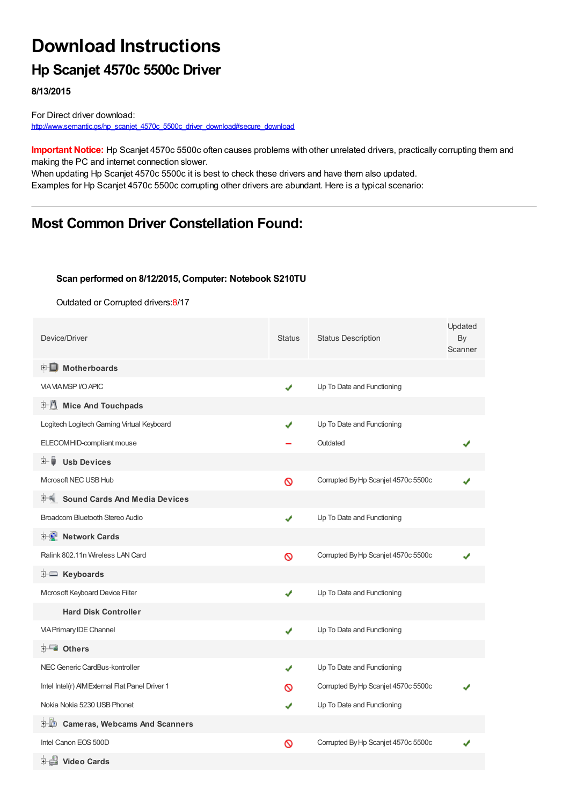# **Download Instructions**

### **Hp Scanjet 4570c 5500c Driver**

**8/13/2015**

For Direct driver download: [http://www.semantic.gs/hp\\_scanjet\\_4570c\\_5500c\\_driver\\_download#secure\\_download](http://www.semantic.gs/hp_scanjet_4570c_5500c_driver_download#secure_download)

**Important Notice:** Hp Scanjet 4570c 5500c often causes problems with other unrelated drivers, practically corrupting them and making the PC and internet connection slower.

When updating Hp Scanjet 4570c 5500c it is best to check these drivers and have them also updated. Examples for Hp Scanjet 4570c 5500c corrupting other drivers are abundant. Here is a typical scenario:

### **Most Common Driver Constellation Found:**

#### **Scan performed on 8/12/2015, Computer: Notebook S210TU**

Outdated or Corrupted drivers:8/17

| Device/Driver                                   | <b>Status</b> | <b>Status Description</b>           | Updated<br>By<br>Scanner |
|-------------------------------------------------|---------------|-------------------------------------|--------------------------|
| <b>E</b> Motherboards                           |               |                                     |                          |
| <b>VIA VIA MSP I/O APIC</b>                     | ✔             | Up To Date and Functioning          |                          |
| <b>E</b> Mice And Touchpads                     |               |                                     |                          |
| Logitech Logitech Gaming Virtual Keyboard       |               | Up To Date and Functioning          |                          |
| ELECOM HID-compliant mouse                      |               | Outdated                            |                          |
| <b>Usb Devices</b><br>⊞…■                       |               |                                     |                          |
| Microsoft NEC USB Hub                           | Ø             | Corrupted By Hp Scanjet 4570c 5500c |                          |
| <b>Sound Cards And Media Devices</b>            |               |                                     |                          |
| Broadcom Bluetooth Stereo Audio                 | ✔             | Up To Date and Functioning          |                          |
| <b>Network Cards</b><br><b>E-9</b>              |               |                                     |                          |
| Ralink 802.11n Wireless LAN Card                | Ø             | Corrupted By Hp Scanjet 4570c 5500c |                          |
| E Keyboards                                     |               |                                     |                          |
| Mcrosoft Keyboard Device Filter                 | J             | Up To Date and Functioning          |                          |
| <b>Hard Disk Controller</b>                     |               |                                     |                          |
| <b>VIA Primary IDE Channel</b>                  | J             | Up To Date and Functioning          |                          |
| <b>E</b> Others                                 |               |                                     |                          |
| NEC Generic CardBus-kontroller                  | ✔             | Up To Date and Functioning          |                          |
| Intel Intel(r) AIM External Flat Panel Driver 1 | ര             | Corrupted By Hp Scanjet 4570c 5500c |                          |
| Nokia Nokia 5230 USB Phonet                     |               | Up To Date and Functioning          |                          |
| <b>Cameras, Webcams And Scanners</b><br>⊡∵LO    |               |                                     |                          |
| Intel Canon EOS 500D                            | ⊚             | Corrupted By Hp Scanjet 4570c 5500c |                          |
| 由書 Video Cards                                  |               |                                     |                          |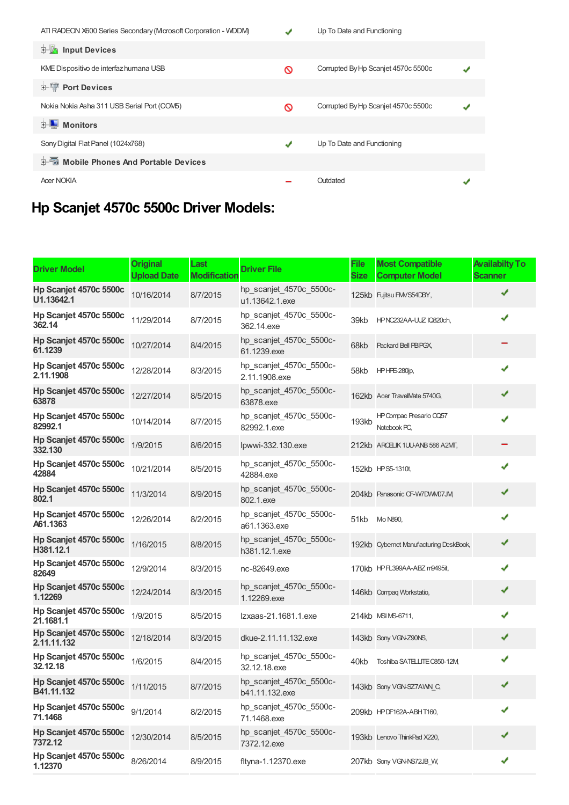| ATI RADEON X600 Series Secondary (Microsoft Corporation - WDDM) |   | Up To Date and Functioning          |  |
|-----------------------------------------------------------------|---|-------------------------------------|--|
| Input Devices<br><b>主…</b>                                      |   |                                     |  |
| KME Dispositivo de interfaz humana USB                          | ଷ | Corrupted By Hp Scanjet 4570c 5500c |  |
| <b>E-TP</b> Port Devices                                        |   |                                     |  |
| Nokia Nokia Asha 311 USB Serial Port (COM5)                     | Ø | Corrupted By Hp Scanjet 4570c 5500c |  |
| <b>Monitors</b>                                                 |   |                                     |  |
| Sony Digital Flat Panel (1024x768)                              | ✔ | Up To Date and Functioning          |  |
| <b>E-</b> Mobile Phones And Portable Devices                    |   |                                     |  |
| <b>Acer NOKIA</b>                                               |   | Outdated                            |  |
|                                                                 |   |                                     |  |

## **Hp Scanjet 4570c 5500c Driver Models:**

| <b>Driver Model</b>                            | <b>Original</b><br><b>Upload Date</b> | Last<br><b>Modification</b> | <b>Driver File</b>                        | <b>File</b><br><b>Size</b> | <b>Most Compatible</b><br><b>Computer Model</b> | <b>Availabilty To</b><br><b>Scanner</b> |
|------------------------------------------------|---------------------------------------|-----------------------------|-------------------------------------------|----------------------------|-------------------------------------------------|-----------------------------------------|
| Hp Scanjet 4570c 5500c<br>U1.13642.1           | 10/16/2014                            | 8/7/2015                    | hp scanjet 4570c 5500c-<br>u1.13642.1.exe |                            | 125kb Fujitsu FMVS54DBY,                        | ✔                                       |
| Hp Scanjet 4570c 5500c<br>362.14               | 11/29/2014                            | 8/7/2015                    | hp_scanjet_4570c_5500c-<br>362.14.exe     | 39kb                       | HPNC232AA-UUZ IQ820ch,                          | ✔                                       |
| Hp Scanjet 4570c 5500c<br>61.1239              | 10/27/2014                            | 8/4/2015                    | hp_scanjet_4570c_5500c-<br>61.1239.exe    | 68kb                       | Packard Bell PBIPGX,                            |                                         |
| Hp Scanjet 4570c 5500c<br>2.11.1908            | 12/28/2014                            | 8/3/2015                    | hp_scanjet_4570c_5500c-<br>2.11.1908.exe  | 58kb                       | <b>HPHPE-280jp,</b>                             | ✔                                       |
| Hp Scanjet 4570c 5500c<br>63878                | 12/27/2014                            | 8/5/2015                    | hp_scanjet_4570c_5500c-<br>63878.exe      |                            | 162kb Acer TravelMate 5740G,                    | ✔                                       |
| Hp Scanjet 4570c 5500c<br>82992.1              | 10/14/2014                            | 8/7/2015                    | hp_scanjet_4570c_5500c-<br>82992.1.exe    | 193kb                      | HP Compac Presario CQ57<br>Notebook PC,         | ✔                                       |
| Hp Scanjet 4570c 5500c<br>332.130              | 1/9/2015                              | 8/6/2015                    | lpwwi-332.130.exe                         |                            | 212kb ARCELIK 1UU-ANB 586 A2MT,                 |                                         |
| Hp Scanjet 4570c 5500c<br>42884                | 10/21/2014                            | 8/5/2015                    | hp_scanjet_4570c_5500c-<br>42884.exe      |                            | 152kb HPS5-1310t,                               | ✔                                       |
| Hp Scanjet 4570c 5500c<br>802.1                | 11/3/2014                             | 8/9/2015                    | hp_scanjet_4570c_5500c-<br>802.1.exe      |                            | 204kb Panasonic CF-W7DVM07JM,                   | ✔                                       |
| Hp Scanjet 4570c 5500c<br>A61.1363             | 12/26/2014                            | 8/2/2015                    | hp_scanjet_4570c_5500c-<br>a61.1363.exe   | 51kb                       | Mo N890.                                        | ✔                                       |
| Hp Scanjet 4570c 5500c<br>H381.12.1            | 1/16/2015                             | 8/8/2015                    | hp_scanjet_4570c_5500c-<br>h381.12.1.exe  |                            | 192kb Cybernet Manufacturing DeskBook,          | ✔                                       |
| Hp Scanjet 4570c 5500c<br>82649                | 12/9/2014                             | 8/3/2015                    | nc-82649.exe                              |                            | 170kb HPFL399AA-ABZ m9495it,                    | ✔                                       |
| Hp Scanjet 4570c 5500c<br>1.12269              | 12/24/2014                            | 8/3/2015                    | hp_scanjet_4570c_5500c-<br>1.12269.exe    |                            | 146kb Compaq Workstatio,                        | ✔                                       |
| Hp Scanjet 4570c 5500c<br>21.1681.1            | 1/9/2015                              | 8/5/2015                    | Izxaas-21.1681.1.exe                      |                            | 214kb MSI MS-6711,                              | ✔                                       |
| Hp Scanjet 4570c 5500c<br>2.11.11.132          | 12/18/2014                            | 8/3/2015                    | dkue-2.11.11.132.exe                      |                            | 143kb Sony VGN-Z90NS,                           | ✔                                       |
| Hp Scanjet 4570c 5500c<br>32.12.18             | 1/6/2015                              | 8/4/2015                    | hp_scanjet_4570c_5500c-<br>32.12.18.exe   | 40kb                       | Toshiba SATELLITE C850-12M                      | ✔                                       |
| Hp Scanjet 4570c 5500c 1/11/2015<br>B41.11.132 |                                       | 8/7/2015                    | hp_scanjet_4570c_5500c-<br>b41.11.132.exe |                            | 143kb Sony VGN-SZ7AWN_C,                        |                                         |
| Hp Scanjet 4570c 5500c<br>71.1468              | 9/1/2014                              | 8/2/2015                    | hp_scanjet_4570c_5500c-<br>71.1468.exe    |                            | 209kb HPDF162A-ABHT160,                         | ✔                                       |
| Hp Scanjet 4570c 5500c<br>7372.12              | 12/30/2014                            | 8/5/2015                    | hp scanjet 4570c 5500c-<br>7372.12.exe    |                            | 193kb Lenovo ThinkPad X220,                     | ✔                                       |
| Hp Scanjet 4570c 5500c<br>1.12370              | 8/26/2014                             | 8/9/2015                    | fltyna-1.12370.exe                        |                            | 207kb Sony VGN-NS72JB_W,                        | ✔                                       |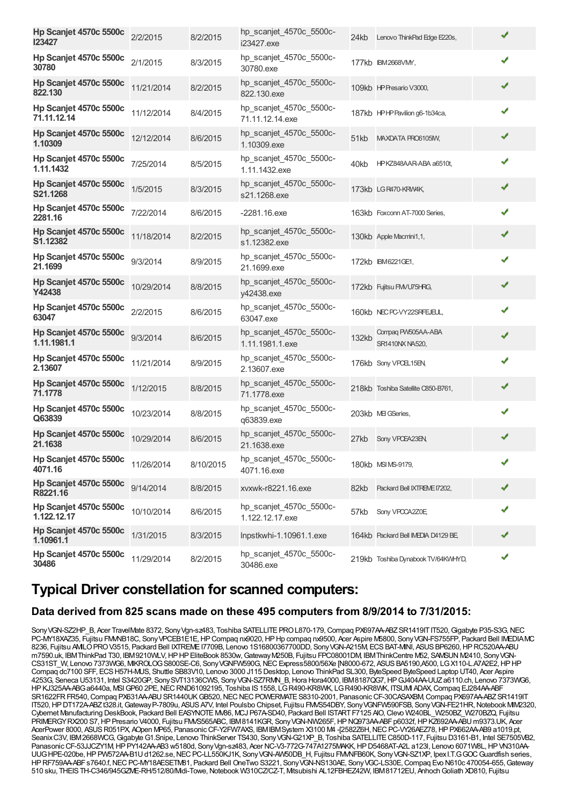| Hp Scanjet 4570c 5500c<br>123427       | 2/2/2015   | 8/2/2015  | hp_scanjet_4570c_5500c-<br>i23427.exe      | 24kb  | Lenovo ThinkPad Edge E220s,           | ✔ |
|----------------------------------------|------------|-----------|--------------------------------------------|-------|---------------------------------------|---|
| Hp Scanjet 4570c 5500c<br><b>30780</b> | 2/1/2015   | 8/3/2015  | hp_scanjet_4570c_5500c-<br>30780.exe       |       | 177kb IBM2668VMY,                     | ✔ |
| Hp Scanjet 4570c 5500c<br>822.130      | 11/21/2014 | 8/2/2015  | hp scanjet 4570c 5500c-<br>822.130.exe     |       | 109kb HP Presario V3000,              | ✔ |
| Hp Scanjet 4570c 5500c<br>71.11.12.14  | 11/12/2014 | 8/4/2015  | hp_scanjet_4570c_5500c-<br>71.11.12.14.exe |       | 187kb HPHPPavilion g6-1b34ca,         | ✔ |
| Hp Scanjet 4570c 5500c<br>1.10309      | 12/12/2014 | 8/6/2015  | hp_scanjet_4570c_5500c-<br>1.10309.exe     | 51kb  | MAXDATA PRO6105M,                     | ✔ |
| Hp Scanjet 4570c 5500c<br>1.11.1432    | 7/25/2014  | 8/5/2015  | hp_scanjet_4570c_5500c-<br>1.11.1432.exe   | 40kb  | HPKZ848AAR-ABA a6510t,                | ✔ |
| Hp Scanjet 4570c 5500c<br>S21.1268     | 1/5/2015   | 8/3/2015  | hp_scanjet_4570c_5500c-<br>s21.1268.exe    |       | 173kb LGR470-KRW4K,                   | ✔ |
| Hp Scanjet 4570c 5500c<br>2281.16      | 7/22/2014  | 8/6/2015  | $-2281.16$ .exe                            |       | 163kb Foxconn AT-7000 Series,         | ✔ |
| Hp Scanjet 4570c 5500c<br>S1.12382     | 11/18/2014 | 8/2/2015  | hp_scanjet_4570c_5500c-<br>s1.12382.exe    |       | 130kb Apple Macmini1,1,               | ✔ |
| Hp Scanjet 4570c 5500c<br>21.1699      | 9/3/2014   | 8/9/2015  | hp_scanjet_4570c_5500c-<br>21.1699.exe     |       | 172kb IBM6221GE1,                     | ✔ |
| Hp Scanjet 4570c 5500c<br>Y42438       | 10/29/2014 | 8/8/2015  | hp_scanjet_4570c_5500c-<br>y42438.exe      |       | 172kb Fujitsu FMVU75HRG,              | ✔ |
| Hp Scanjet 4570c 5500c<br>63047        | 2/2/2015   | 8/6/2015  | hp_scanjet_4570c_5500c-<br>63047.exe       |       | 160kb NECPC-VY22SRFEJEUL,             | ✔ |
| Hp Scanjet 4570c 5500c<br>1.11.1981.1  | 9/3/2014   | 8/6/2015  | hp_scanjet_4570c_5500c-<br>1.11.1981.1.exe | 132kb | Compag PW505AA-ABA<br>SR1410NX NA520, | ✔ |
| Hp Scanjet 4570c 5500c<br>2.13607      | 11/21/2014 | 8/9/2015  | hp_scanjet_4570c_5500c-<br>2.13607.exe     |       | 176kb Sony VPCEL15EN,                 | ✔ |
| Hp Scanjet 4570c 5500c<br>71.1778      | 1/12/2015  | 8/8/2015  | hp_scanjet_4570c_5500c-<br>71.1778.exe     |       | 218kb Toshiba Satellite C850-B761,    | ✔ |
| Hp Scanjet 4570c 5500c<br>Q63839       | 10/23/2014 | 8/8/2015  | hp_scanjet_4570c_5500c-<br>q63839.exe      |       | 203kb MEI GSeries,                    | ✔ |
| Hp Scanjet 4570c 5500c<br>21.1638      | 10/29/2014 | 8/6/2015  | hp_scanjet_4570c_5500c-<br>21.1638.exe     | 27kb  | Sony VPCEA23EN,                       | ✔ |
| Hp Scanjet 4570c 5500c<br>4071.16      | 11/26/2014 | 8/10/2015 | hp_scanjet_4570c_5500c-<br>4071.16.exe     |       | 180kb MSI MS-9179,                    | ✔ |
| Hp Scanjet 4570c 5500c<br>R8221.16     | 9/14/2014  | 8/8/2015  | xvxwk-r8221.16.exe                         | 82kb  | Packard Bell IXTREME 17202,           | ✔ |
| Hp Scanjet 4570c 5500c<br>1.122.12.17  | 10/10/2014 | 8/6/2015  | hp_scanjet_4570c_5500c-<br>1.122.12.17.exe | 57kb  | Sony VPOCA2Z0E                        | ✔ |
| Hp Scanjet 4570c 5500c<br>1.10961.1    | 1/31/2015  | 8/3/2015  | Inpstkwhi-1.10961.1.exe                    |       | 164kb Packard Bell IMEDIA D4129 BE,   | ✔ |
| Hp Scanjet 4570c 5500c<br>30486        | 11/29/2014 | 8/2/2015  | hp_scanjet_4570c_5500c-<br>30486.exe       |       | 219kb Toshiba Dynabook TV/64KWHYD,    | ✔ |

### **Typical Driver constellation for scanned computers:**

#### **Data derived from 825 scans made on these 495 computers from 8/9/2014 to 7/31/2015:**

Sony VGN-SZ2HP B, Acer TravelMate 8372, Sony Vgn-sz483, Toshiba SATELLITE PRO L870-179, Compaq PX697AA-ABZ SR1419IT IT520, Gigabyte P35-S3G, NEC PC-MY18XAZ35, Fujitsu FMMB18C, Sony VPCEB1E1E, HP Compaq nx9020, HP Hp compaq nx9500, Acer Aspire M5800, Sony VGN-FS755FP, Packard Bell IMEDIAMC 8236, Fujitsu AMILOPROV3515, Packard Bell IXTREMEI7709B, Lenovo 1S16800367700DD, SonyVGN-A215M, ECSBAT-MINI, ASUSBP6260,HPRC520AA-ABU m7590.uk, IBMThinkPad T30, IBM9210WLV,HPHPEliteBook 8530w,GatewayM250B, Fujitsu FPC08001DM, IBMThinkCentre M52, SAMSUN M2410, SonyVGN-CS31ST\_W, Lenovo 7373WG6, MIKROLOGS800SE-C6, SonyVGNFW590G,NECExpress5800/56Xe [N8000-672, ASUSBA5190,A500, LGX110-L.A7A2E2,HPHP Compaq dc7100 SFF, ECSH57H-MUS, Shuttle SB83V10, Lenovo 3000 J115 Desktop, Lenovo ThinkPad SL300, ByteSpeed ByteSpeed Laptop UT40, Acer Aspire 4253G, Seneca U53131, Intel S3420GP, SonySVT13136CWS, SonyVGN-SZ7RMN\_B,Hora Hora4000, IBM8187QG7,HPGJ404AA-UUZa6110.ch, Lenovo 7373WG6, HPKJ325AA-ABGa6440a, MSIGP60 2PE,NECRND61092195, Toshiba IS1558, LGR490-KR8WK, LGR490-KR8WK, ITSUMI ADAX,Compaq EJ284AA-ABF SR1622FR FR540, Compaq PX631AA-ABU SR1440UK GB520, NEC NEC POWERMATE S8310-2001, Panasonic CF-30CASAXBM, Compaq PX697AA-ABZ SR1419IT IT520, HPDT172A-ABZt328.it, GatewayP-7809u, ASUS A7V, Intel Poulsbo Chipset, Fujitsu FMVS54DBY, SonyVGNFW590FSB, SonyVGN-FE21HR, Notebook MIM2320, Cybernet Manufacturing DeskBook, Packard Bell EASYNOTE MV86, MCJ P67A-SD40, Packard Bell ISTART F7125 AIO, Clevo W240BL\_W250BZ\_W270BZQ, Fujitsu PRIMERGYRX200 S7, HP Presario V4000, Fujitsu FMVS565ABC, IBM8141KGR, Sony VGN-NW265F, HP NQ973AA-ABF p6032f, HPKZ692AA-ABU m9373.UK, Acer AcerPower 8000, ASUSR051PX, AOpen MP65, PanasonicCF-Y2FW7AXS, IBMIBMSystem X3100 M4 -[2582Z6H,NECPC-VY26AEZ78,HPPX662AA-AB9 a1019.pt, SeanixC3V, IBM2668WCG, Gigabyte G1.Snipe, Lenovo ThinkServer TS430, Sony VGN-G21XP\_B, Toshiba SATELLITE C850D-117, Fujitsu D3161-B1, Intel SE7505VB2, Panasonic CF-53JJCZY1M, HP PY142AA-AB3 w5180d, Sony Vgn-sz483, Acer NC-V3-772G-747A1275MAKK, HP D5468AT-A2L a123l, Lenovo 6071W8L, HP VN310AA-UUG HPE-020be, HP PW572AA-B1U d1262.se, NEC PC-LL550KJ1K, Sony VGN-AW50DB\_H, Fujitsu FMMFB60K, Sony VGN-SZ1XP, Ipex I.T.G GOC Guardfish series, HPRF759AA-ABFs7640.f,NECPC-MY18AESETM81, Packard Bell OneTwo S3221, SonyVGN-NS130AE, SonyVGC-LS30E,Compaq Evo N610c 470054-655,Gateway 510 sku, THEISTH-C346/945GZME-RH/512/80/Midi-Towe,Notebook W310CZ/CZ-T, Mitsubishi AL12FBHEZ42W, IBM81712EU, AnhochGoliath XD810, Fujitsu